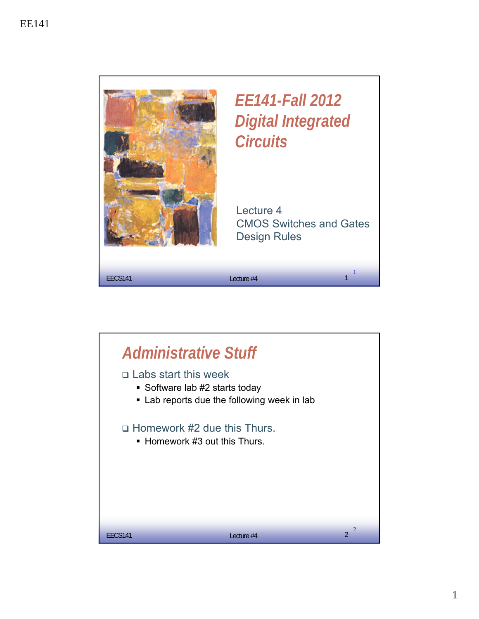

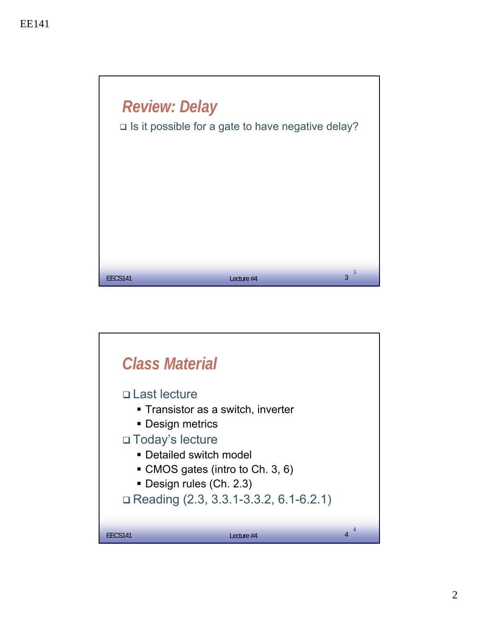

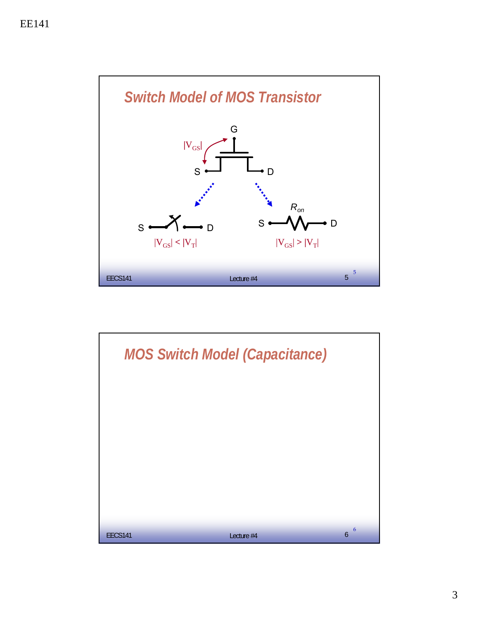

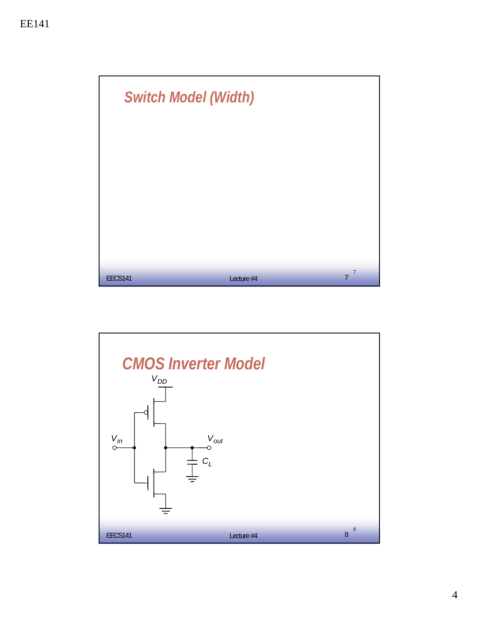

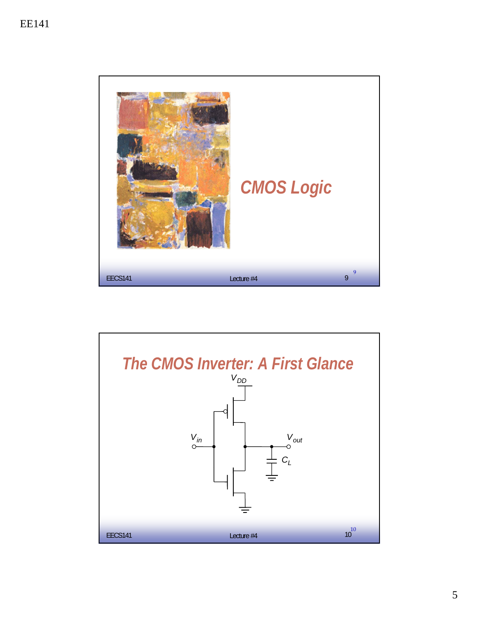

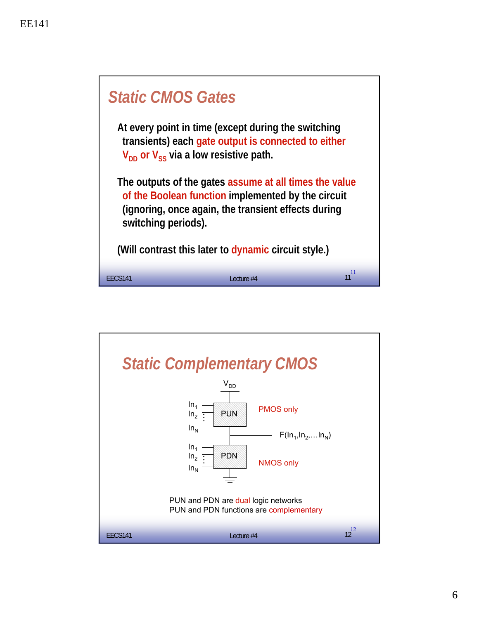

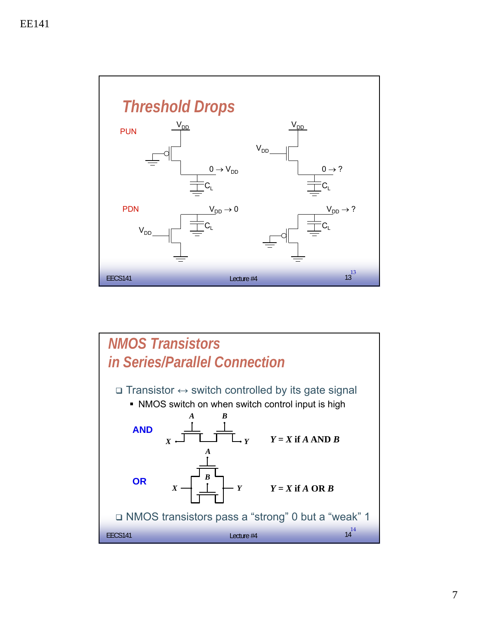

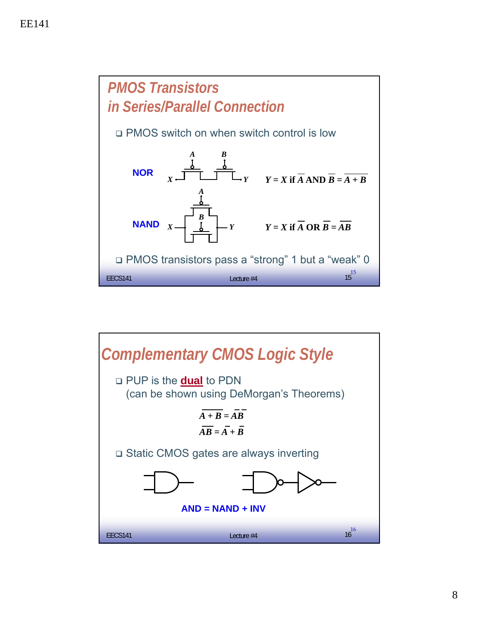

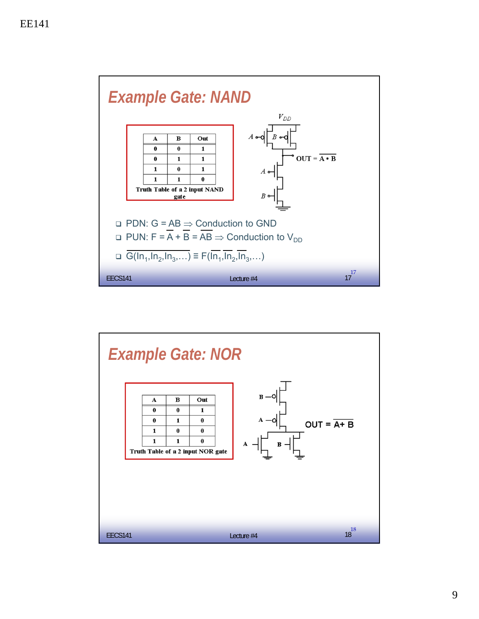

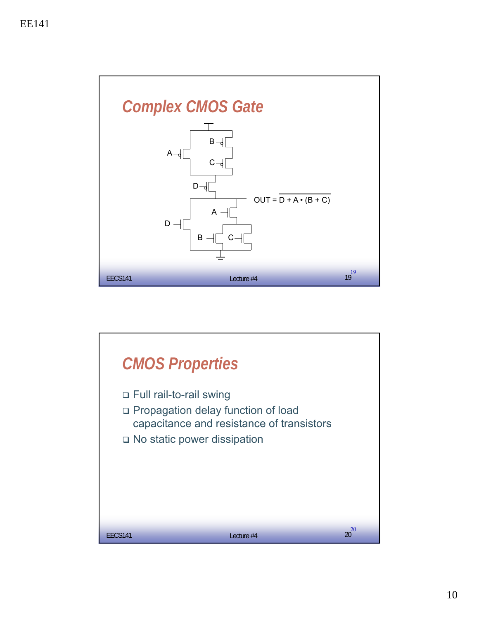

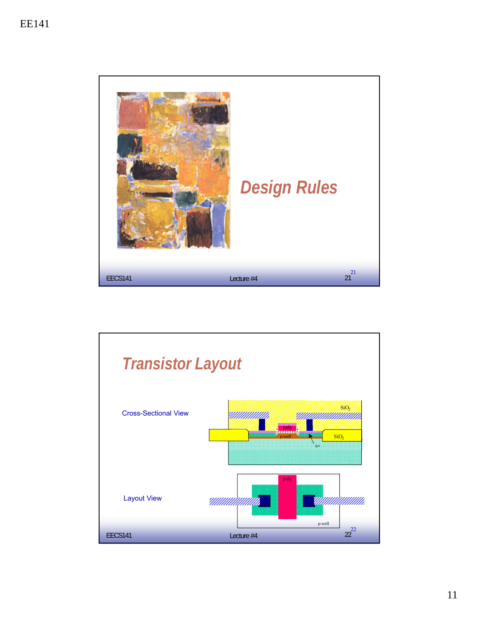

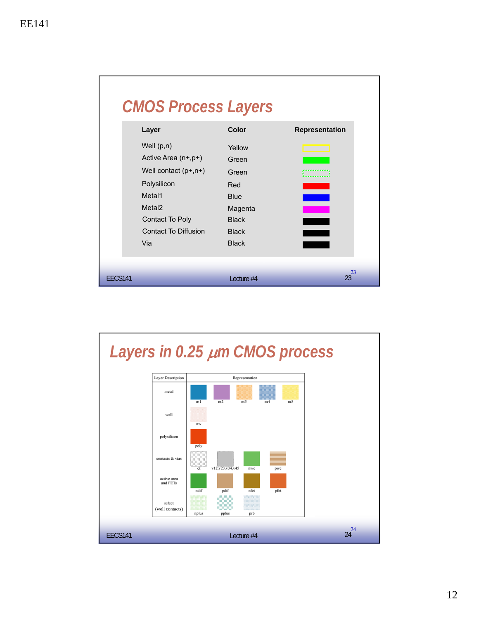

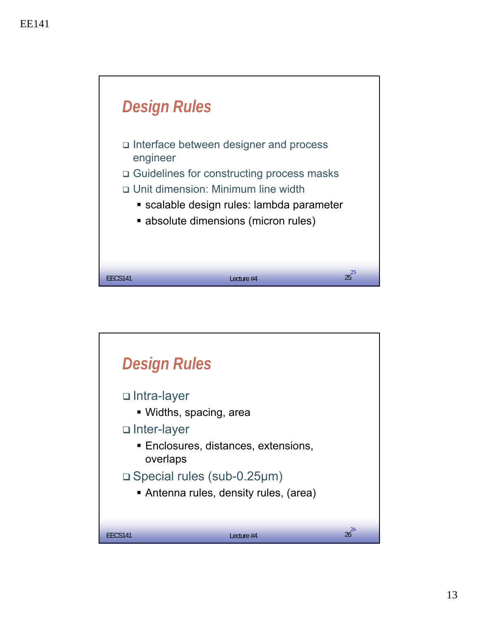

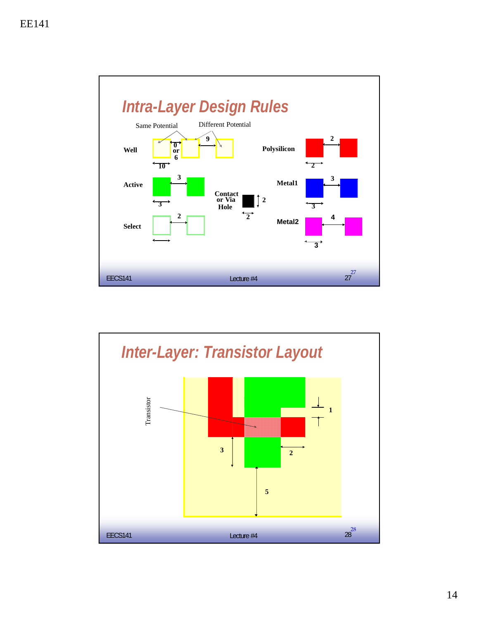

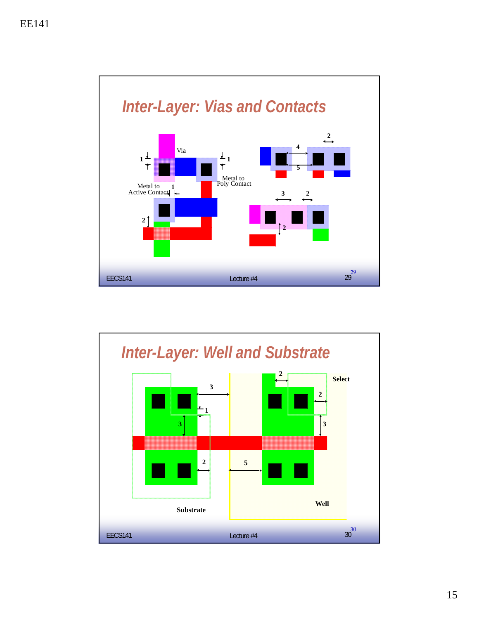

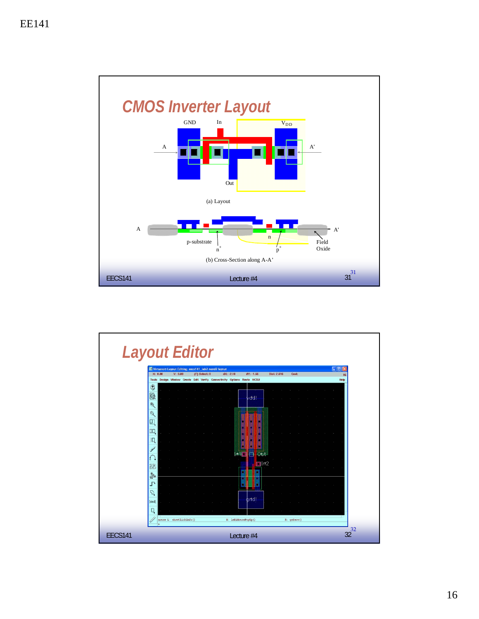

|                | <b>Layout Editor</b>                                                                                                                                                             |
|----------------|----------------------------------------------------------------------------------------------------------------------------------------------------------------------------------|
|                | 日回り<br>Virtuoso® Layout Editing: eecs141_lab2 nand2 layout                                                                                                                       |
|                | Y: 0.00<br>X: 0.00<br>(F) Select: 0<br>$dX: -2.10$<br>$dY: -1.56$<br>Dist: 2.616<br>Cmd:<br>16<br>Tools Design Window Create Edit Verify Connectivity Options Route NCSU<br>Help |
|                | ♦<br>$\mathbf{\Theta}$<br>vdd!                                                                                                                                                   |
|                | $\mathfrak{F}$<br>$\mathbf{Q}$                                                                                                                                                   |
|                | ◨<br>EO                                                                                                                                                                          |
|                |                                                                                                                                                                                  |
|                | Otit<br>$\begin{bmatrix} 1 & 1 \end{bmatrix}$<br>F1rt2<br>盟                                                                                                                      |
|                | <b>See</b><br>L,                                                                                                                                                                 |
|                | $\mathcal{L}$<br>grtd!<br>[abcd]                                                                                                                                                 |
|                | Д<br>mouse L: showClickInfo()<br>M: leHiMousePopUp()<br>R: qeSave()                                                                                                              |
| <b>EECS141</b> | 32<br>32<br>Lecture #4                                                                                                                                                           |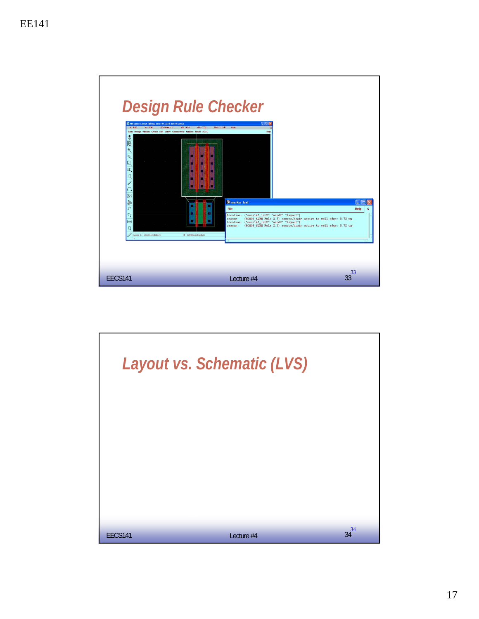

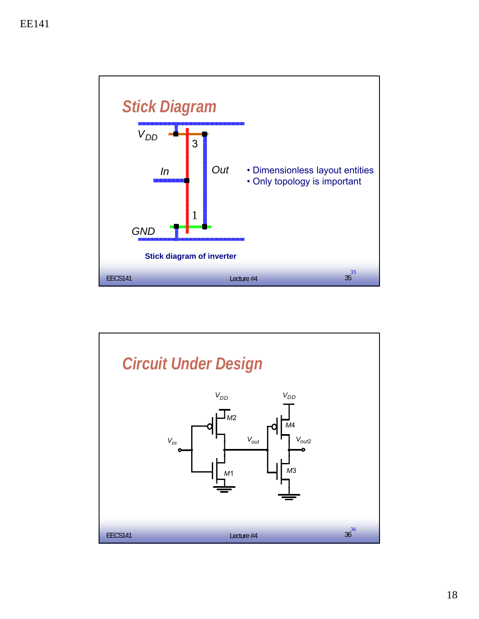

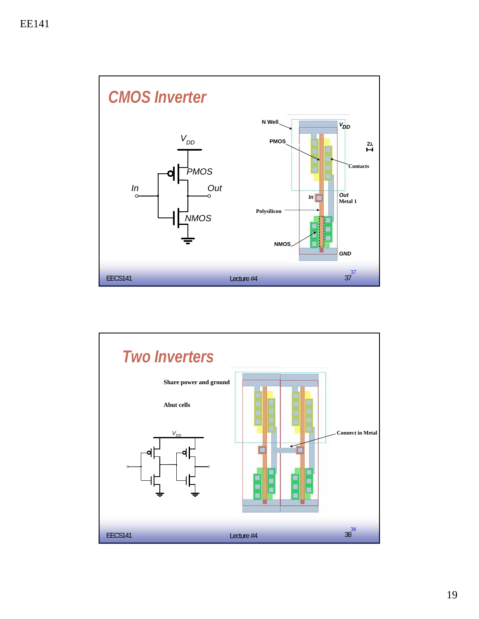